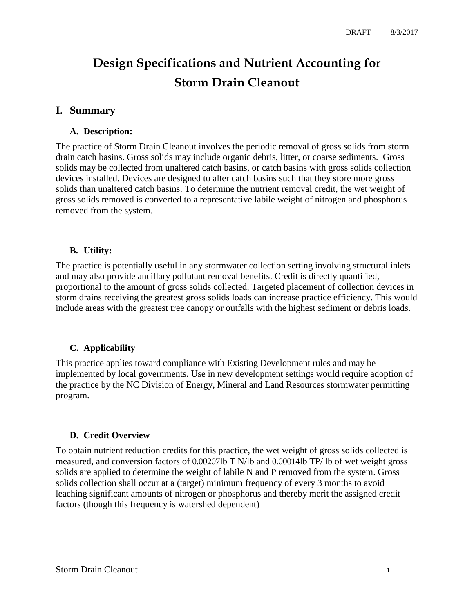# **Design Specifications and Nutrient Accounting for Storm Drain Cleanout**

# **I. Summary**

## **A. Description:**

The practice of Storm Drain Cleanout involves the periodic removal of gross solids from storm drain catch basins. Gross solids may include organic debris, litter, or coarse sediments. Gross solids may be collected from unaltered catch basins, or catch basins with gross solids collection devices installed. Devices are designed to alter catch basins such that they store more gross solids than unaltered catch basins. To determine the nutrient removal credit, the wet weight of gross solids removed is converted to a representative labile weight of nitrogen and phosphorus removed from the system.

## **B. Utility:**

The practice is potentially useful in any stormwater collection setting involving structural inlets and may also provide ancillary pollutant removal benefits. Credit is directly quantified, proportional to the amount of gross solids collected. Targeted placement of collection devices in storm drains receiving the greatest gross solids loads can increase practice efficiency. This would include areas with the greatest tree canopy or outfalls with the highest sediment or debris loads.

# **C. Applicability**

This practice applies toward compliance with Existing Development rules and may be implemented by local governments. Use in new development settings would require adoption of the practice by the NC Division of Energy, Mineral and Land Resources stormwater permitting program.

#### **D. Credit Overview**

To obtain nutrient reduction credits for this practice, the wet weight of gross solids collected is measured, and conversion factors of 0.00207lb T N/lb and 0.00014lb TP/ lb of wet weight gross solids are applied to determine the weight of labile N and P removed from the system. Gross solids collection shall occur at a (target) minimum frequency of every 3 months to avoid leaching significant amounts of nitrogen or phosphorus and thereby merit the assigned credit factors (though this frequency is watershed dependent)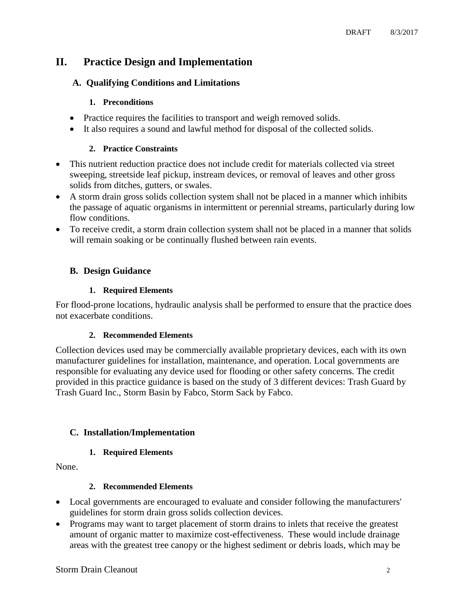# **II. Practice Design and Implementation**

# **A. Qualifying Conditions and Limitations**

#### **1. Preconditions**

- Practice requires the facilities to transport and weigh removed solids.
- It also requires a sound and lawful method for disposal of the collected solids.

#### **2. Practice Constraints**

- This nutrient reduction practice does not include credit for materials collected via street sweeping, streetside leaf pickup, instream devices, or removal of leaves and other gross solids from ditches, gutters, or swales.
- A storm drain gross solids collection system shall not be placed in a manner which inhibits the passage of aquatic organisms in intermittent or perennial streams, particularly during low flow conditions.
- To receive credit, a storm drain collection system shall not be placed in a manner that solids will remain soaking or be continually flushed between rain events.

## **B. Design Guidance**

#### **1. Required Elements**

For flood-prone locations, hydraulic analysis shall be performed to ensure that the practice does not exacerbate conditions.

#### **2. Recommended Elements**

Collection devices used may be commercially available proprietary devices, each with its own manufacturer guidelines for installation, maintenance, and operation. Local governments are responsible for evaluating any device used for flooding or other safety concerns. The credit provided in this practice guidance is based on the study of 3 different devices: Trash Guard by Trash Guard Inc., Storm Basin by Fabco, Storm Sack by Fabco.

# **C. Installation/Implementation**

#### **1. Required Elements**

None.

#### **2. Recommended Elements**

- Local governments are encouraged to evaluate and consider following the manufacturers' guidelines for storm drain gross solids collection devices.
- Programs may want to target placement of storm drains to inlets that receive the greatest amount of organic matter to maximize cost-effectiveness. These would include drainage areas with the greatest tree canopy or the highest sediment or debris loads, which may be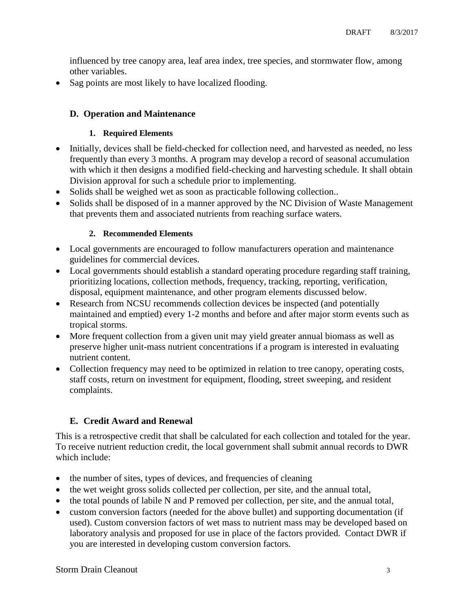influenced by tree canopy area, leaf area index, tree species, and stormwater flow, among other variables.

Sag points are most likely to have localized flooding.

# **D. Operation and Maintenance**

#### **1. Required Elements**

- Initially, devices shall be field-checked for collection need, and harvested as needed, no less frequently than every 3 months. A program may develop a record of seasonal accumulation with which it then designs a modified field-checking and harvesting schedule. It shall obtain Division approval for such a schedule prior to implementing.
- Solids shall be weighed wet as soon as practicable following collection..
- Solids shall be disposed of in a manner approved by the NC Division of Waste Management that prevents them and associated nutrients from reaching surface waters.

#### **2. Recommended Elements**

- Local governments are encouraged to follow manufacturers operation and maintenance guidelines for commercial devices.
- Local governments should establish a standard operating procedure regarding staff training, prioritizing locations, collection methods, frequency, tracking, reporting, verification, disposal, equipment maintenance, and other program elements discussed below.
- Research from NCSU recommends collection devices be inspected (and potentially maintained and emptied) every 1-2 months and before and after major storm events such as tropical storms.
- More frequent collection from a given unit may yield greater annual biomass as well as preserve higher unit-mass nutrient concentrations if a program is interested in evaluating nutrient content.
- Collection frequency may need to be optimized in relation to tree canopy, operating costs, staff costs, return on investment for equipment, flooding, street sweeping, and resident complaints.

# **E. Credit Award and Renewal**

This is a retrospective credit that shall be calculated for each collection and totaled for the year. To receive nutrient reduction credit, the local government shall submit annual records to DWR which include:

- the number of sites, types of devices, and frequencies of cleaning
- the wet weight gross solids collected per collection, per site, and the annual total,
- the total pounds of labile N and P removed per collection, per site, and the annual total,
- custom conversion factors (needed for the above bullet) and supporting documentation (if used). Custom conversion factors of wet mass to nutrient mass may be developed based on laboratory analysis and proposed for use in place of the factors provided. Contact DWR if you are interested in developing custom conversion factors.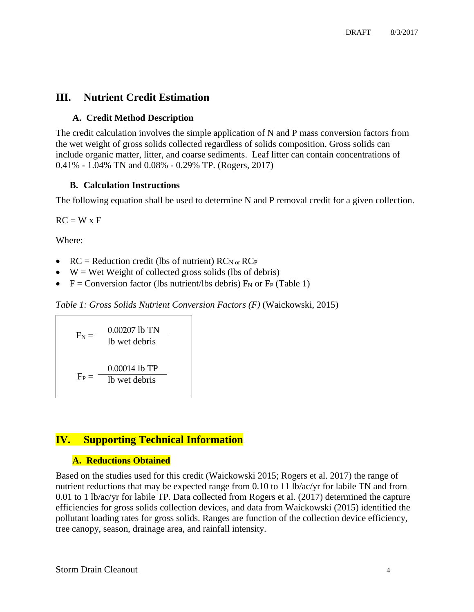# **III. Nutrient Credit Estimation**

## **A. Credit Method Description**

The credit calculation involves the simple application of N and P mass conversion factors from the wet weight of gross solids collected regardless of solids composition. Gross solids can include organic matter, litter, and coarse sediments. Leaf litter can contain concentrations of 0.41% - 1.04% TN and 0.08% - 0.29% TP. (Rogers, 2017)

## **B. Calculation Instructions**

The following equation shall be used to determine N and P removal credit for a given collection.

 $RC = W \times F$ 

Where:

- RC = Reduction credit (lbs of nutrient)  $RC_{N \text{ or }} RC_{P}$
- $\bullet$  W = Wet Weight of collected gross solids (lbs of debris)
- $F =$  Conversion factor (lbs nutrient/lbs debris)  $F_N$  or  $F_P$  (Table 1)

*Table 1: Gross Solids Nutrient Conversion Factors (F)* (Waickowski, 2015)

 $F_N = \frac{0.00207 \text{ lb} \text{ TN}}{1 \text{ lb} \text{ rest} \text{ d} \text{ th} \text{ min}}$ lb wet debris  $F_P = 1b$  wet debris 0.00014 lb TP

# **IV. Supporting Technical Information**

# **A. Reductions Obtained**

Based on the studies used for this credit (Waickowski 2015; Rogers et al. 2017) the range of nutrient reductions that may be expected range from 0.10 to 11 lb/ac/yr for labile TN and from 0.01 to 1 lb/ac/yr for labile TP. Data collected from Rogers et al. (2017) determined the capture efficiencies for gross solids collection devices, and data from Waickowski (2015) identified the pollutant loading rates for gross solids. Ranges are function of the collection device efficiency, tree canopy, season, drainage area, and rainfall intensity.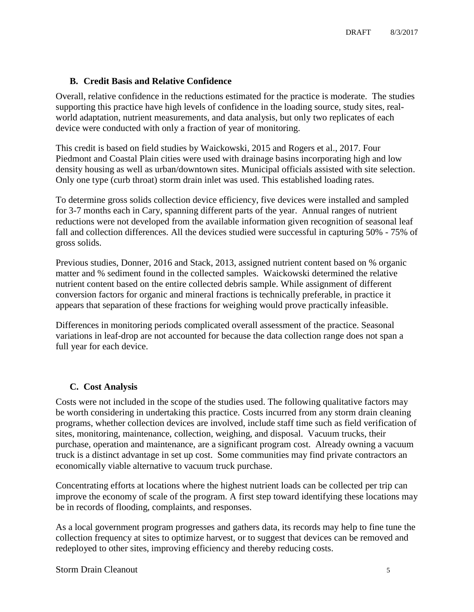#### **B. Credit Basis and Relative Confidence**

Overall, relative confidence in the reductions estimated for the practice is moderate. The studies supporting this practice have high levels of confidence in the loading source, study sites, realworld adaptation, nutrient measurements, and data analysis, but only two replicates of each device were conducted with only a fraction of year of monitoring.

This credit is based on field studies by Waickowski, 2015 and Rogers et al., 2017. Four Piedmont and Coastal Plain cities were used with drainage basins incorporating high and low density housing as well as urban/downtown sites. Municipal officials assisted with site selection. Only one type (curb throat) storm drain inlet was used. This established loading rates.

To determine gross solids collection device efficiency, five devices were installed and sampled for 3-7 months each in Cary, spanning different parts of the year. Annual ranges of nutrient reductions were not developed from the available information given recognition of seasonal leaf fall and collection differences. All the devices studied were successful in capturing 50% - 75% of gross solids.

Previous studies, Donner, 2016 and Stack, 2013, assigned nutrient content based on % organic matter and % sediment found in the collected samples. Waickowski determined the relative nutrient content based on the entire collected debris sample. While assignment of different conversion factors for organic and mineral fractions is technically preferable, in practice it appears that separation of these fractions for weighing would prove practically infeasible.

Differences in monitoring periods complicated overall assessment of the practice. Seasonal variations in leaf-drop are not accounted for because the data collection range does not span a full year for each device.

#### **C. Cost Analysis**

Costs were not included in the scope of the studies used. The following qualitative factors may be worth considering in undertaking this practice. Costs incurred from any storm drain cleaning programs, whether collection devices are involved, include staff time such as field verification of sites, monitoring, maintenance, collection, weighing, and disposal. Vacuum trucks, their purchase, operation and maintenance, are a significant program cost. Already owning a vacuum truck is a distinct advantage in set up cost. Some communities may find private contractors an economically viable alternative to vacuum truck purchase.

Concentrating efforts at locations where the highest nutrient loads can be collected per trip can improve the economy of scale of the program. A first step toward identifying these locations may be in records of flooding, complaints, and responses.

As a local government program progresses and gathers data, its records may help to fine tune the collection frequency at sites to optimize harvest, or to suggest that devices can be removed and redeployed to other sites, improving efficiency and thereby reducing costs.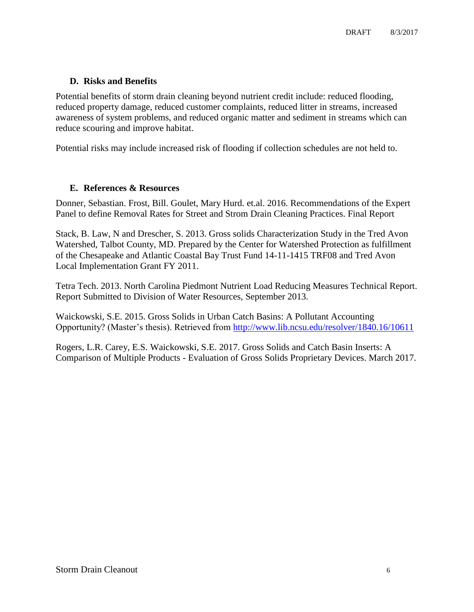## **D. Risks and Benefits**

Potential benefits of storm drain cleaning beyond nutrient credit include: reduced flooding, reduced property damage, reduced customer complaints, reduced litter in streams, increased awareness of system problems, and reduced organic matter and sediment in streams which can reduce scouring and improve habitat.

Potential risks may include increased risk of flooding if collection schedules are not held to.

#### **E. References & Resources**

Donner, Sebastian. Frost, Bill. Goulet, Mary Hurd. et.al. 2016. Recommendations of the Expert Panel to define Removal Rates for Street and Strom Drain Cleaning Practices. Final Report

Stack, B. Law, N and Drescher, S. 2013. Gross solids Characterization Study in the Tred Avon Watershed, Talbot County, MD. Prepared by the Center for Watershed Protection as fulfillment of the Chesapeake and Atlantic Coastal Bay Trust Fund 14-11-1415 TRF08 and Tred Avon Local Implementation Grant FY 2011.

Tetra Tech. 2013. North Carolina Piedmont Nutrient Load Reducing Measures Technical Report. Report Submitted to Division of Water Resources, September 2013.

Waickowski, S.E. 2015. Gross Solids in Urban Catch Basins: A Pollutant Accounting Opportunity? (Master's thesis). Retrieved from<http://www.lib.ncsu.edu/resolver/1840.16/10611>

Rogers, L.R. Carey, E.S. Waickowski, S.E. 2017. Gross Solids and Catch Basin Inserts: A Comparison of Multiple Products - Evaluation of Gross Solids Proprietary Devices. March 2017.